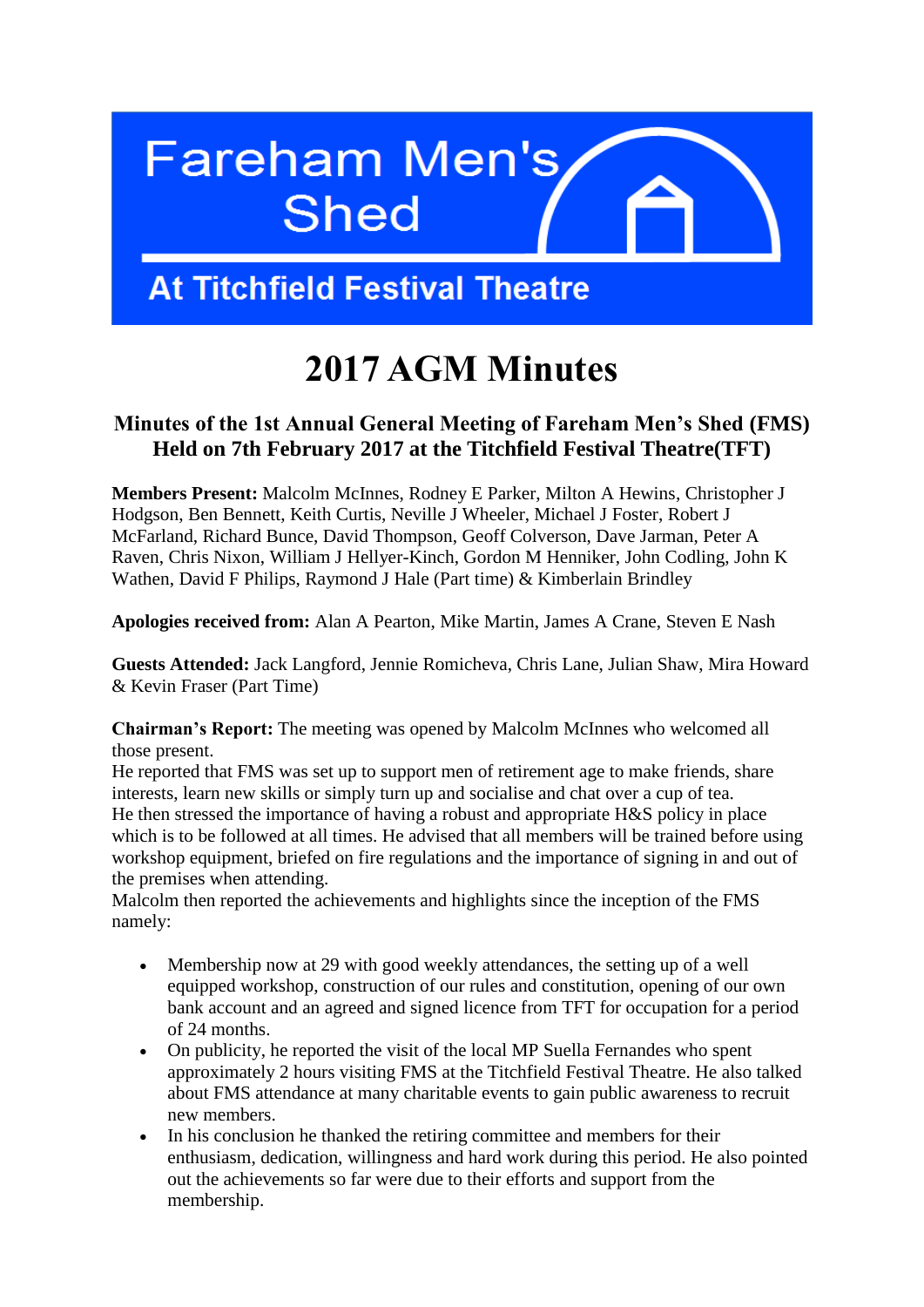

## **At Titchfield Festival Theatre**

# **2017 AGM Minutes**

### **Minutes of the 1st Annual General Meeting of Fareham Men's Shed (FMS) Held on 7th February 2017 at the Titchfield Festival Theatre(TFT)**

**Members Present:** Malcolm McInnes, Rodney E Parker, Milton A Hewins, Christopher J Hodgson, Ben Bennett, Keith Curtis, Neville J Wheeler, Michael J Foster, Robert J McFarland, Richard Bunce, David Thompson, Geoff Colverson, Dave Jarman, Peter A Raven, Chris Nixon, William J Hellyer-Kinch, Gordon M Henniker, John Codling, John K Wathen, David F Philips, Raymond J Hale (Part time) & Kimberlain Brindley

**Apologies received from:** Alan A Pearton, Mike Martin, James A Crane, Steven E Nash

**Guests Attended:** Jack Langford, Jennie Romicheva, Chris Lane, Julian Shaw, Mira Howard & Kevin Fraser (Part Time)

**Chairman's Report:** The meeting was opened by Malcolm McInnes who welcomed all those present.

He reported that FMS was set up to support men of retirement age to make friends, share interests, learn new skills or simply turn up and socialise and chat over a cup of tea. He then stressed the importance of having a robust and appropriate H&S policy in place which is to be followed at all times. He advised that all members will be trained before using workshop equipment, briefed on fire regulations and the importance of signing in and out of the premises when attending.

Malcolm then reported the achievements and highlights since the inception of the FMS namely:

- Membership now at 29 with good weekly attendances, the setting up of a well equipped workshop, construction of our rules and constitution, opening of our own bank account and an agreed and signed licence from TFT for occupation for a period of 24 months.
- On publicity, he reported the visit of the local MP Suella Fernandes who spent approximately 2 hours visiting FMS at the Titchfield Festival Theatre. He also talked about FMS attendance at many charitable events to gain public awareness to recruit new members.
- In his conclusion he thanked the retiring committee and members for their enthusiasm, dedication, willingness and hard work during this period. He also pointed out the achievements so far were due to their efforts and support from the membership.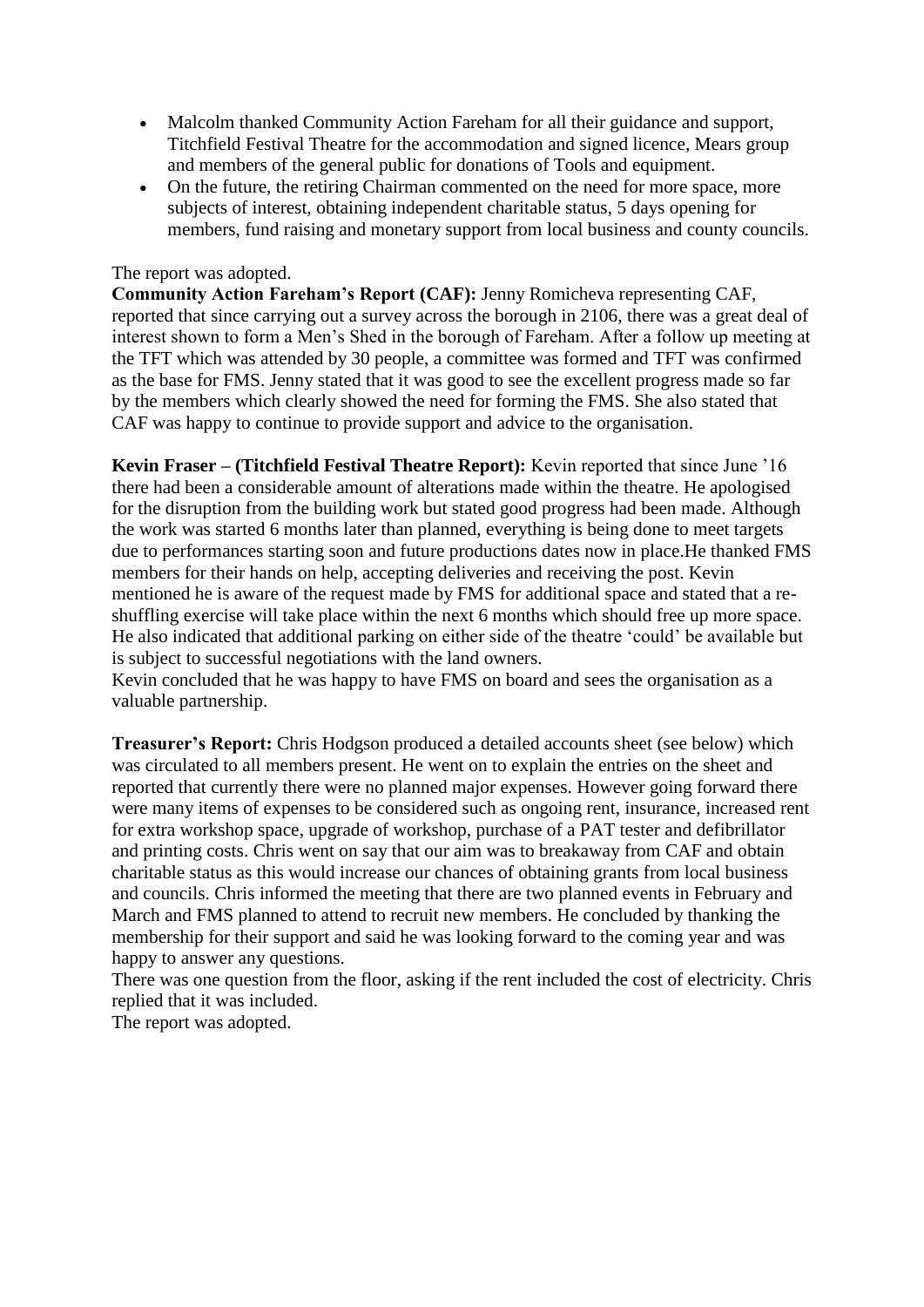- Malcolm thanked Community Action Fareham for all their guidance and support, Titchfield Festival Theatre for the accommodation and signed licence, Mears group and members of the general public for donations of Tools and equipment.
- On the future, the retiring Chairman commented on the need for more space, more subjects of interest, obtaining independent charitable status, 5 days opening for members, fund raising and monetary support from local business and county councils.

#### The report was adopted.

**Community Action Fareham's Report (CAF):** Jenny Romicheva representing CAF, reported that since carrying out a survey across the borough in 2106, there was a great deal of interest shown to form a Men's Shed in the borough of Fareham. After a follow up meeting at the TFT which was attended by 30 people, a committee was formed and TFT was confirmed as the base for FMS. Jenny stated that it was good to see the excellent progress made so far by the members which clearly showed the need for forming the FMS. She also stated that CAF was happy to continue to provide support and advice to the organisation.

**Kevin Fraser – (Titchfield Festival Theatre Report):** Kevin reported that since June '16 there had been a considerable amount of alterations made within the theatre. He apologised for the disruption from the building work but stated good progress had been made. Although the work was started 6 months later than planned, everything is being done to meet targets due to performances starting soon and future productions dates now in place.He thanked FMS members for their hands on help, accepting deliveries and receiving the post. Kevin mentioned he is aware of the request made by FMS for additional space and stated that a reshuffling exercise will take place within the next 6 months which should free up more space. He also indicated that additional parking on either side of the theatre 'could' be available but is subject to successful negotiations with the land owners.

Kevin concluded that he was happy to have FMS on board and sees the organisation as a valuable partnership.

**Treasurer's Report:** Chris Hodgson produced a detailed accounts sheet (see below) which was circulated to all members present. He went on to explain the entries on the sheet and reported that currently there were no planned major expenses. However going forward there were many items of expenses to be considered such as ongoing rent, insurance, increased rent for extra workshop space, upgrade of workshop, purchase of a PAT tester and defibrillator and printing costs. Chris went on say that our aim was to breakaway from CAF and obtain charitable status as this would increase our chances of obtaining grants from local business and councils. Chris informed the meeting that there are two planned events in February and March and FMS planned to attend to recruit new members. He concluded by thanking the membership for their support and said he was looking forward to the coming year and was happy to answer any questions.

There was one question from the floor, asking if the rent included the cost of electricity. Chris replied that it was included.

The report was adopted.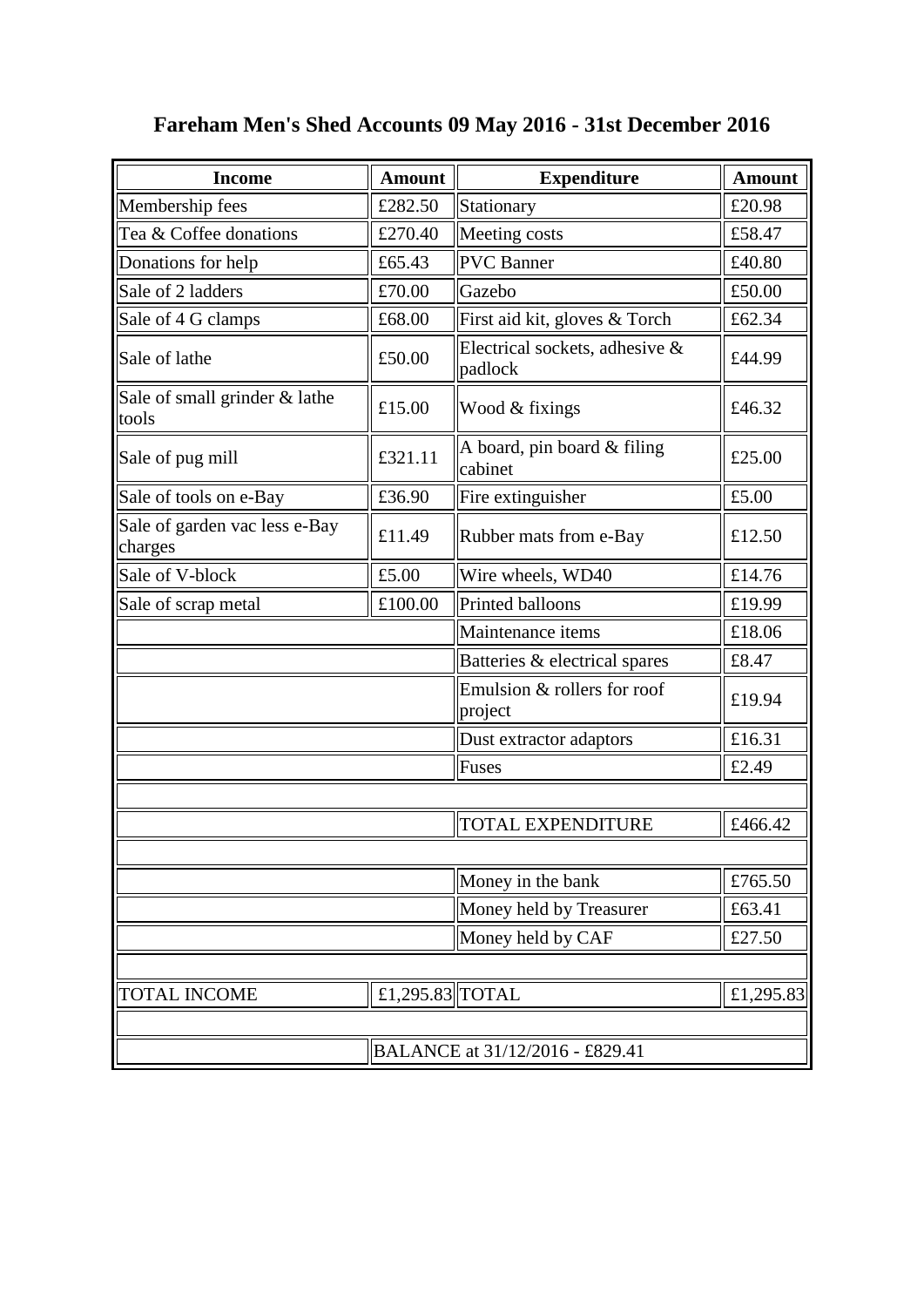| <b>Income</b>                            | <b>Amount</b>   | <b>Expenditure</b>                        | <b>Amount</b> |  |  |
|------------------------------------------|-----------------|-------------------------------------------|---------------|--|--|
| Membership fees                          | £282.50         | Stationary                                | £20.98        |  |  |
| Tea & Coffee donations                   | £270.40         | Meeting costs                             | £58.47        |  |  |
| Donations for help                       | £65.43          | <b>PVC</b> Banner                         | £40.80        |  |  |
| Sale of 2 ladders                        | £70.00          | Gazebo                                    | £50.00        |  |  |
| Sale of 4 G clamps                       | £68.00          | First aid kit, gloves & Torch             | £62.34        |  |  |
| Sale of lathe                            | £50.00          | Electrical sockets, adhesive &<br>padlock | £44.99        |  |  |
| Sale of small grinder & lathe<br>tools   | £15.00          | Wood & fixings                            | £46.32        |  |  |
| Sale of pug mill                         | £321.11         | A board, pin board & filing<br>cabinet    | £25.00        |  |  |
| Sale of tools on e-Bay                   | £36.90          | Fire extinguisher                         | £5.00         |  |  |
| Sale of garden vac less e-Bay<br>charges | £11.49          | Rubber mats from e-Bay                    | £12.50        |  |  |
| Sale of V-block                          | £5.00           | Wire wheels, WD40                         | £14.76        |  |  |
| Sale of scrap metal                      | £100.00         | Printed balloons                          | £19.99        |  |  |
|                                          |                 | Maintenance items                         | £18.06        |  |  |
|                                          |                 | Batteries & electrical spares             | £8.47         |  |  |
|                                          |                 | Emulsion & rollers for roof<br>project    | £19.94        |  |  |
|                                          |                 | Dust extractor adaptors                   | £16.31        |  |  |
|                                          |                 | Fuses                                     | £2.49         |  |  |
|                                          |                 |                                           |               |  |  |
|                                          |                 | <b>TOTAL EXPENDITURE</b>                  | £466.42       |  |  |
|                                          |                 |                                           |               |  |  |
|                                          |                 | Money in the bank                         | £765.50       |  |  |
|                                          |                 | Money held by Treasurer                   | £63.41        |  |  |
|                                          |                 | Money held by CAF                         | £27.50        |  |  |
|                                          |                 |                                           |               |  |  |
| <b>TOTAL INCOME</b>                      | £1,295.83 TOTAL |                                           | £1,295.83     |  |  |
|                                          |                 |                                           |               |  |  |
| BALANCE at 31/12/2016 - £829.41          |                 |                                           |               |  |  |

### **Fareham Men's Shed Accounts 09 May 2016 - 31st December 2016**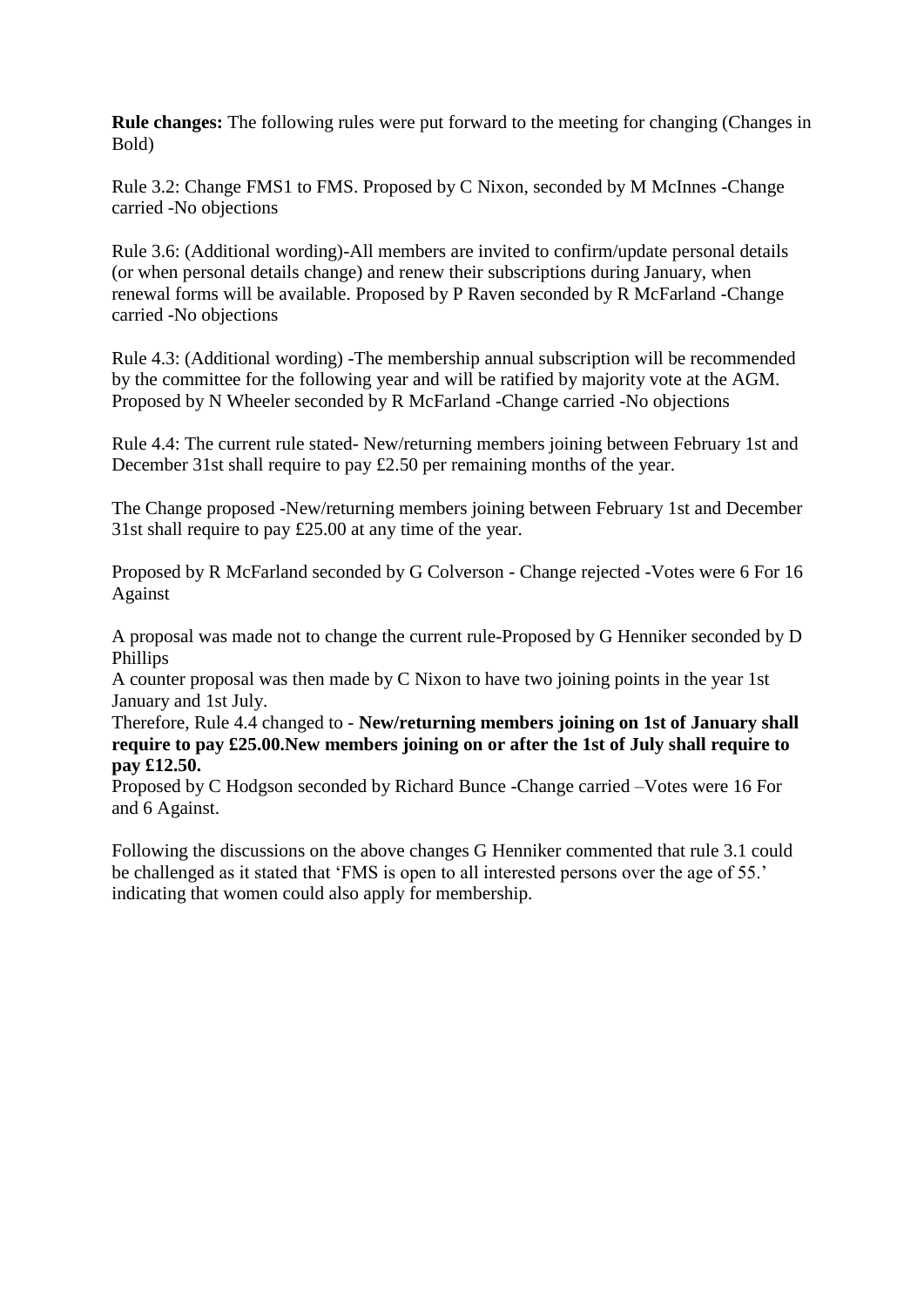**Rule changes:** The following rules were put forward to the meeting for changing (Changes in Bold)

Rule 3.2: Change FMS1 to FMS. Proposed by C Nixon, seconded by M McInnes -Change carried -No objections

Rule 3.6: (Additional wording)-All members are invited to confirm/update personal details (or when personal details change) and renew their subscriptions during January, when renewal forms will be available. Proposed by P Raven seconded by R McFarland -Change carried -No objections

Rule 4.3: (Additional wording) -The membership annual subscription will be recommended by the committee for the following year and will be ratified by majority vote at the AGM. Proposed by N Wheeler seconded by R McFarland -Change carried -No objections

Rule 4.4: The current rule stated- New/returning members joining between February 1st and December 31st shall require to pay £2.50 per remaining months of the year.

The Change proposed -New/returning members joining between February 1st and December 31st shall require to pay £25.00 at any time of the year.

Proposed by R McFarland seconded by G Colverson - Change rejected -Votes were 6 For 16 Against

A proposal was made not to change the current rule-Proposed by G Henniker seconded by D Phillips

A counter proposal was then made by C Nixon to have two joining points in the year 1st January and 1st July.

Therefore, Rule 4.4 changed to - **New/returning members joining on 1st of January shall require to pay £25.00.New members joining on or after the 1st of July shall require to pay £12.50.**

Proposed by C Hodgson seconded by Richard Bunce -Change carried –Votes were 16 For and 6 Against.

Following the discussions on the above changes G Henniker commented that rule 3.1 could be challenged as it stated that 'FMS is open to all interested persons over the age of 55.' indicating that women could also apply for membership.